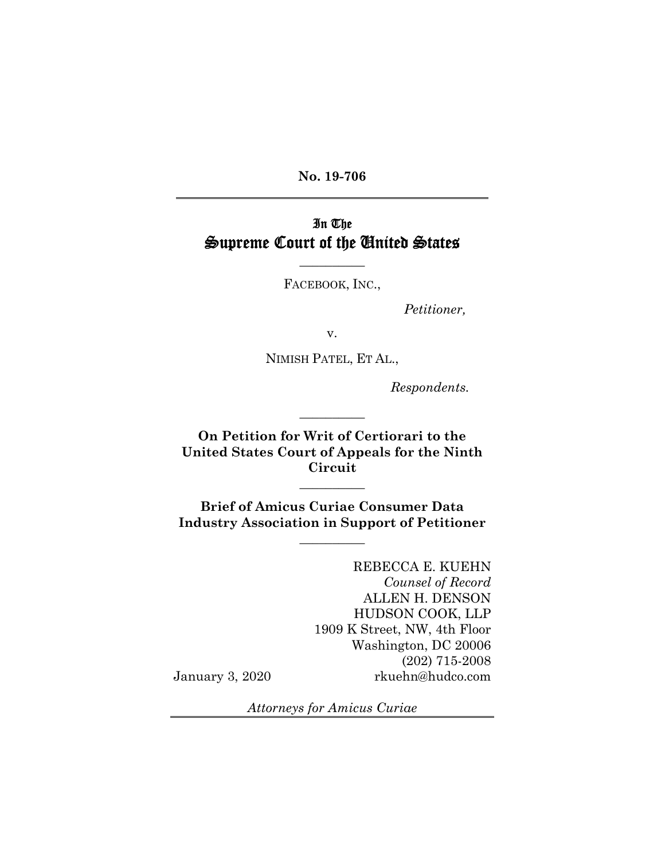**No. 19-706** 

# In The Supreme Court of the United States

FACEBOOK, INC.,

**\_\_\_\_\_\_\_\_\_\_** 

*Petitioner,*

v.

NIMISH PATEL, ET AL.,

*Respondents.*

**On Petition for Writ of Certiorari to the United States Court of Appeals for the Ninth Circuit** 

 $\frac{1}{2}$ 

**\_\_\_\_\_\_\_\_\_\_**

**Brief of Amicus Curiae Consumer Data Industry Association in Support of Petitioner** 

**\_\_\_\_\_\_\_\_\_\_**

REBECCA E. KUEHN *Counsel of Record* ALLEN H. DENSON HUDSON COOK, LLP 1909 K Street, NW, 4th Floor Washington, DC 20006 (202) 715-2008 January 3, 2020 rkuehn@hudco.com

 $\overline{a}$ 

*Attorneys for Amicus Curiae*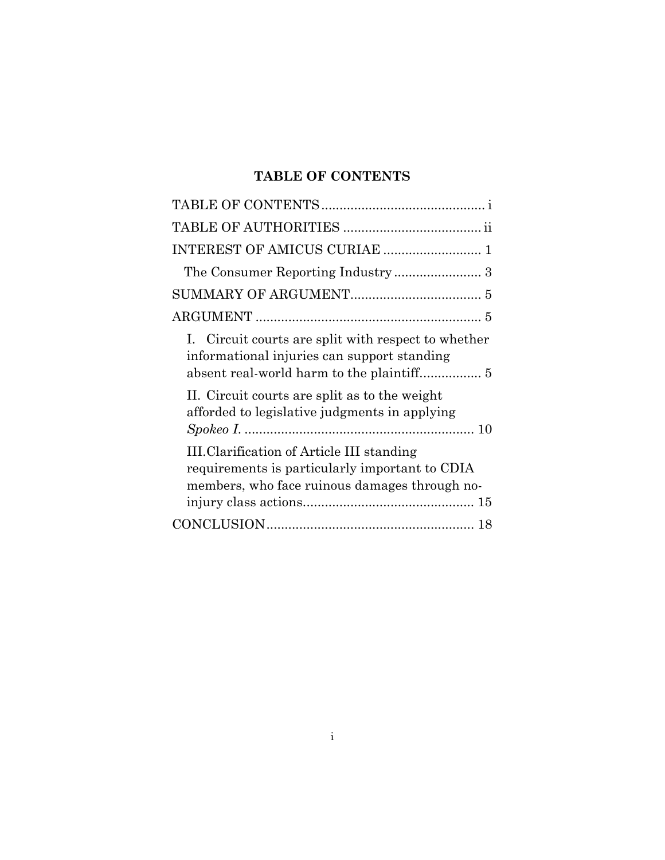# **TABLE OF CONTENTS**

| I. Circuit courts are split with respect to whether<br>informational injuries can support standing                                                  |
|-----------------------------------------------------------------------------------------------------------------------------------------------------|
| II. Circuit courts are split as to the weight<br>afforded to legislative judgments in applying                                                      |
| <b>III.Clarification of Article III standing</b><br>requirements is particularly important to CDIA<br>members, who face ruinous damages through no- |
|                                                                                                                                                     |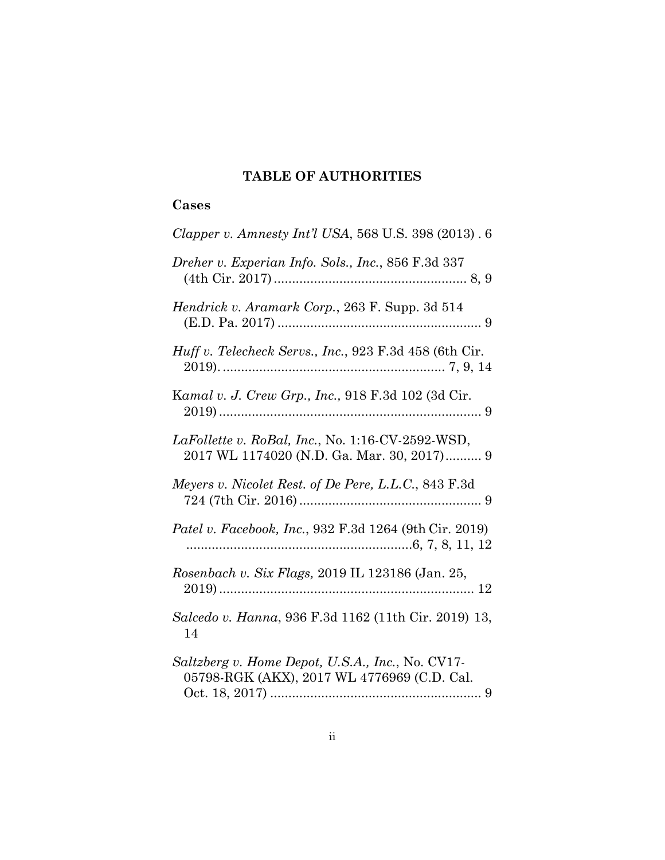## **TABLE OF AUTHORITIES**

## **Cases**

| Clapper v. Amnesty Int'l USA, 568 U.S. 398 (2013). 6                                            |
|-------------------------------------------------------------------------------------------------|
| Dreher v. Experian Info. Sols., Inc., 856 F.3d 337                                              |
| Hendrick v. Aramark Corp., 263 F. Supp. 3d 514                                                  |
| Huff v. Telecheck Servs., Inc., 923 F.3d 458 (6th Cir.                                          |
| Kamal v. J. Crew Grp., Inc., 918 F.3d 102 (3d Cir.                                              |
| LaFollette v. RoBal, Inc., No. 1:16-CV-2592-WSD,<br>2017 WL 1174020 (N.D. Ga. Mar. 30, 2017) 9  |
| Meyers v. Nicolet Rest. of De Pere, L.L.C., 843 F.3d                                            |
| Patel v. Facebook, Inc., 932 F.3d 1264 (9th Cir. 2019)                                          |
| Rosenbach v. Six Flags, 2019 IL 123186 (Jan. 25,                                                |
| Salcedo v. Hanna, 936 F.3d 1162 (11th Cir. 2019) 13,<br>14                                      |
| Saltzberg v. Home Depot, U.S.A., Inc., No. CV17-<br>05798-RGK (AKX), 2017 WL 4776969 (C.D. Cal. |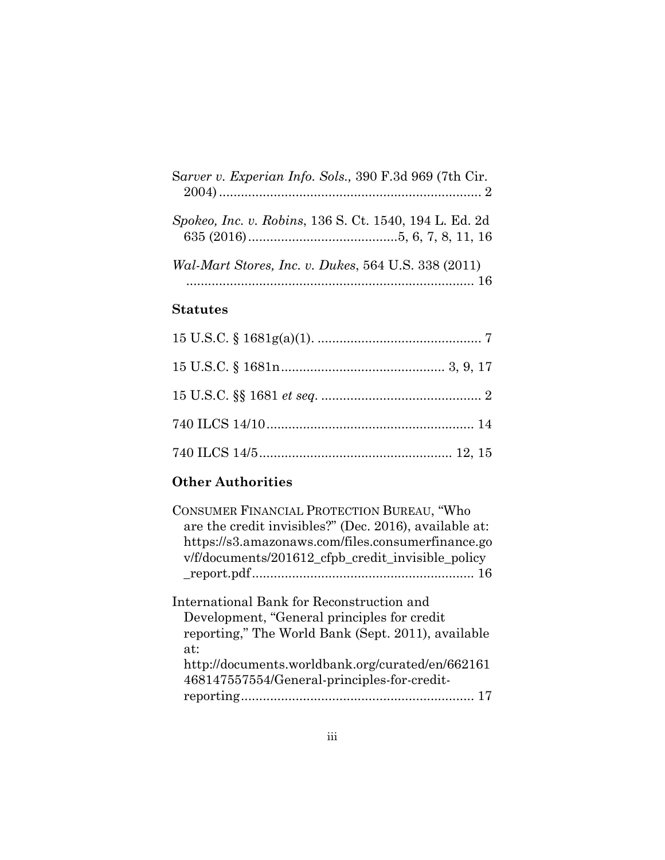| Sarver v. Experian Info. Sols., 390 F.3d 969 (7th Cir. |
|--------------------------------------------------------|
| Spokeo, Inc. v. Robins, 136 S. Ct. 1540, 194 L. Ed. 2d |
| Wal-Mart Stores, Inc. v. Dukes, 564 U.S. 338 (2011)    |

## **Statutes**

# **Other Authorities**

| CONSUMER FINANCIAL PROTECTION BUREAU, "Who<br>are the credit invisibles?" (Dec. 2016), available at:<br>https://s3.amazonaws.com/files.consumerfinance.go<br>v/f/documents/201612_cfpb_credit_invisible_policy |
|----------------------------------------------------------------------------------------------------------------------------------------------------------------------------------------------------------------|
|                                                                                                                                                                                                                |
| International Bank for Reconstruction and<br>Development, "General principles for credit"<br>reporting," The World Bank (Sept. 2011), available<br>at:                                                         |
| http://documents.worldbank.org/curated/en/662161<br>468147557554/General-principles-for-credit-                                                                                                                |
|                                                                                                                                                                                                                |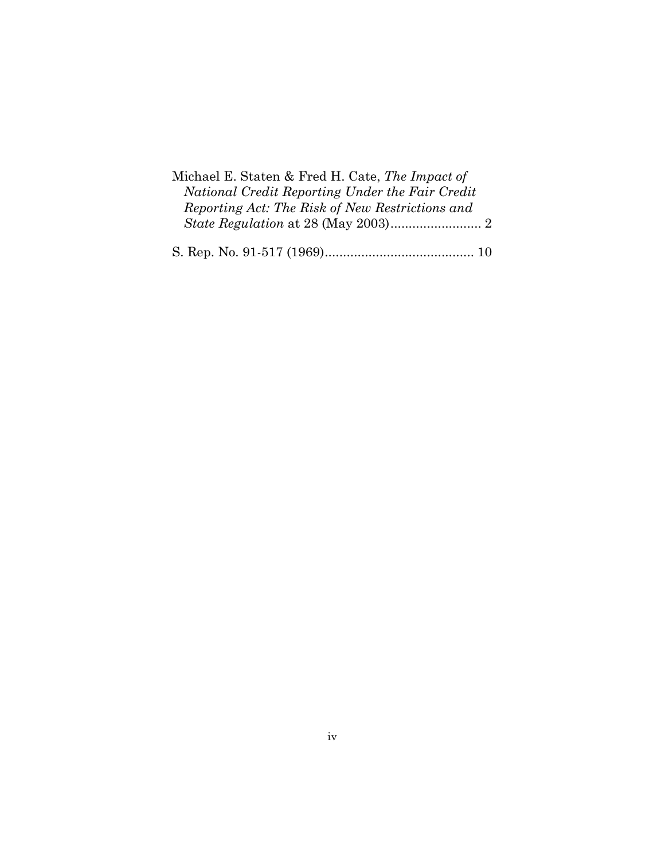| Michael E. Staten & Fred H. Cate, The Impact of |
|-------------------------------------------------|
| National Credit Reporting Under the Fair Credit |
| Reporting Act: The Risk of New Restrictions and |
|                                                 |
|                                                 |

|--|--|--|--|--|--|--|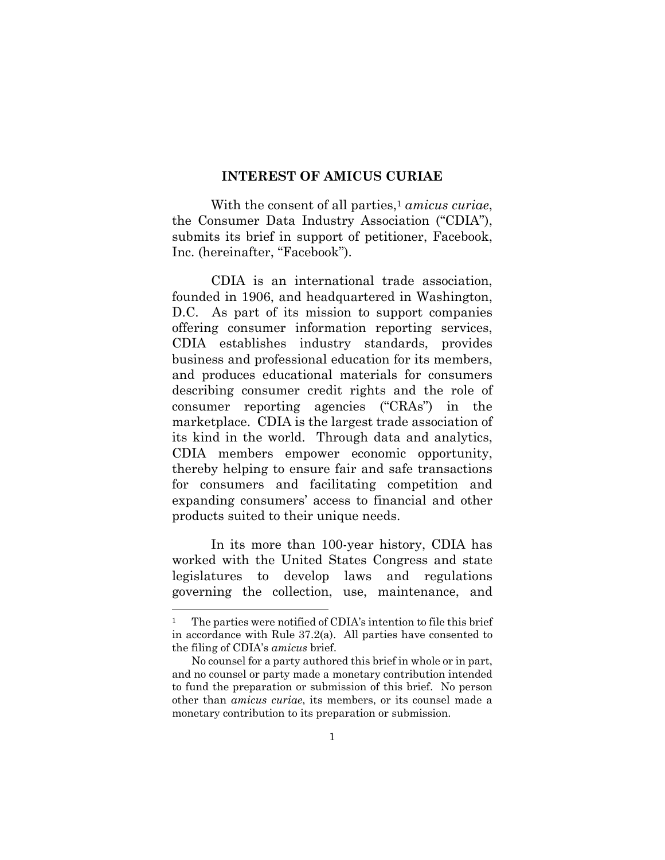### **INTEREST OF AMICUS CURIAE**

With the consent of all parties,<sup>1</sup> *amicus curiae*, the Consumer Data Industry Association ("CDIA"), submits its brief in support of petitioner, Facebook, Inc. (hereinafter, "Facebook").

CDIA is an international trade association, founded in 1906, and headquartered in Washington, D.C. As part of its mission to support companies offering consumer information reporting services, CDIA establishes industry standards, provides business and professional education for its members, and produces educational materials for consumers describing consumer credit rights and the role of consumer reporting agencies ("CRAs") in the marketplace. CDIA is the largest trade association of its kind in the world. Through data and analytics, CDIA members empower economic opportunity, thereby helping to ensure fair and safe transactions for consumers and facilitating competition and expanding consumers' access to financial and other products suited to their unique needs.

In its more than 100-year history, CDIA has worked with the United States Congress and state legislatures to develop laws and regulations governing the collection, use, maintenance, and

<sup>&</sup>lt;sup>1</sup> The parties were notified of CDIA's intention to file this brief in accordance with Rule 37.2(a). All parties have consented to the filing of CDIA's *amicus* brief.

No counsel for a party authored this brief in whole or in part, and no counsel or party made a monetary contribution intended to fund the preparation or submission of this brief. No person other than *amicus curiae*, its members, or its counsel made a monetary contribution to its preparation or submission.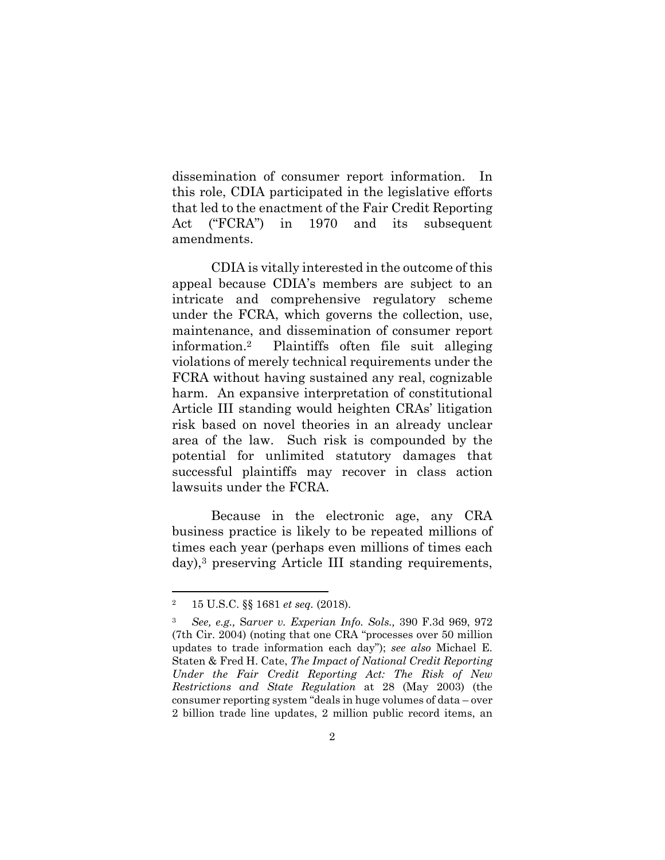dissemination of consumer report information. In this role, CDIA participated in the legislative efforts that led to the enactment of the Fair Credit Reporting Act ("FCRA") in 1970 and its subsequent amendments.

CDIA is vitally interested in the outcome of this appeal because CDIA's members are subject to an intricate and comprehensive regulatory scheme under the FCRA, which governs the collection, use, maintenance, and dissemination of consumer report information.2 Plaintiffs often file suit alleging violations of merely technical requirements under the FCRA without having sustained any real, cognizable harm. An expansive interpretation of constitutional Article III standing would heighten CRAs' litigation risk based on novel theories in an already unclear area of the law. Such risk is compounded by the potential for unlimited statutory damages that successful plaintiffs may recover in class action lawsuits under the FCRA.

Because in the electronic age, any CRA business practice is likely to be repeated millions of times each year (perhaps even millions of times each day),3 preserving Article III standing requirements,

<sup>2 15</sup> U.S.C. §§ 1681 *et seq.* (2018).

<sup>3</sup> *See, e.g.,* S*arver v. Experian Info. Sols.,* 390 F.3d 969, 972 (7th Cir. 2004) (noting that one CRA "processes over 50 million updates to trade information each day"); *see also* Michael E. Staten & Fred H. Cate, *The Impact of National Credit Reporting Under the Fair Credit Reporting Act: The Risk of New Restrictions and State Regulation* at 28 (May 2003) (the consumer reporting system "deals in huge volumes of data – over 2 billion trade line updates, 2 million public record items, an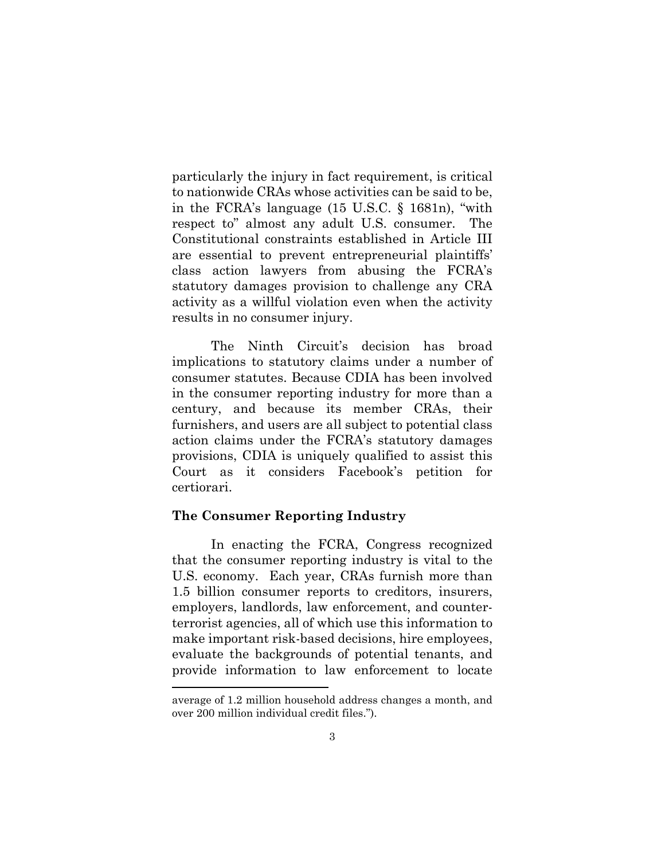particularly the injury in fact requirement, is critical to nationwide CRAs whose activities can be said to be, in the FCRA's language (15 U.S.C. § 1681n), "with respect to" almost any adult U.S. consumer. The Constitutional constraints established in Article III are essential to prevent entrepreneurial plaintiffs' class action lawyers from abusing the FCRA's statutory damages provision to challenge any CRA activity as a willful violation even when the activity results in no consumer injury.

The Ninth Circuit's decision has broad implications to statutory claims under a number of consumer statutes. Because CDIA has been involved in the consumer reporting industry for more than a century, and because its member CRAs, their furnishers, and users are all subject to potential class action claims under the FCRA's statutory damages provisions, CDIA is uniquely qualified to assist this Court as it considers Facebook's petition for certiorari.

### **The Consumer Reporting Industry**

In enacting the FCRA, Congress recognized that the consumer reporting industry is vital to the U.S. economy. Each year, CRAs furnish more than 1.5 billion consumer reports to creditors, insurers, employers, landlords, law enforcement, and counterterrorist agencies, all of which use this information to make important risk-based decisions, hire employees, evaluate the backgrounds of potential tenants, and provide information to law enforcement to locate

average of 1.2 million household address changes a month, and over 200 million individual credit files.").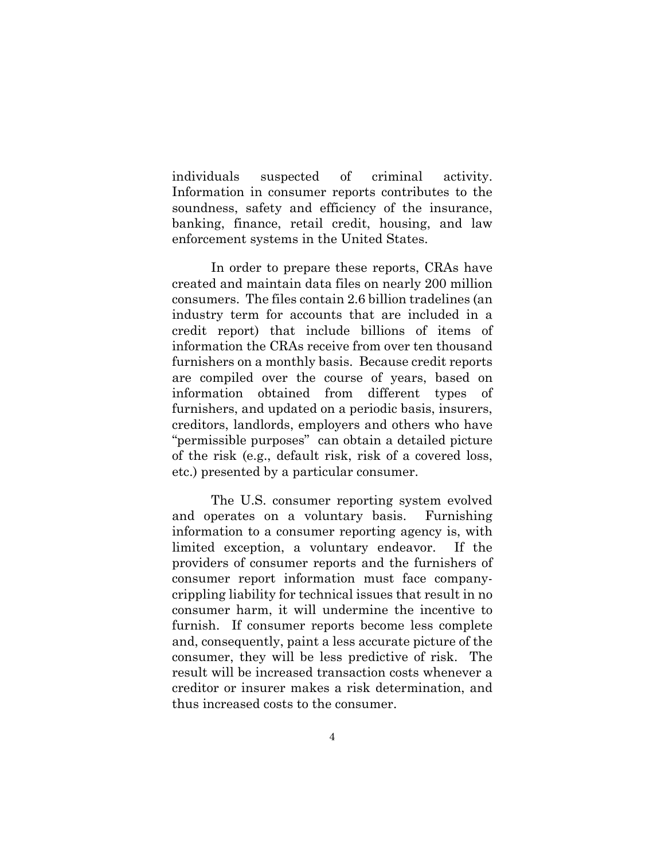individuals suspected of criminal activity. Information in consumer reports contributes to the soundness, safety and efficiency of the insurance, banking, finance, retail credit, housing, and law enforcement systems in the United States.

In order to prepare these reports, CRAs have created and maintain data files on nearly 200 million consumers. The files contain 2.6 billion tradelines (an industry term for accounts that are included in a credit report) that include billions of items of information the CRAs receive from over ten thousand furnishers on a monthly basis. Because credit reports are compiled over the course of years, based on information obtained from different types of furnishers, and updated on a periodic basis, insurers, creditors, landlords, employers and others who have "permissible purposes" can obtain a detailed picture of the risk (e.g., default risk, risk of a covered loss, etc.) presented by a particular consumer.

The U.S. consumer reporting system evolved and operates on a voluntary basis. Furnishing information to a consumer reporting agency is, with limited exception, a voluntary endeavor. If the providers of consumer reports and the furnishers of consumer report information must face companycrippling liability for technical issues that result in no consumer harm, it will undermine the incentive to furnish. If consumer reports become less complete and, consequently, paint a less accurate picture of the consumer, they will be less predictive of risk. The result will be increased transaction costs whenever a creditor or insurer makes a risk determination, and thus increased costs to the consumer.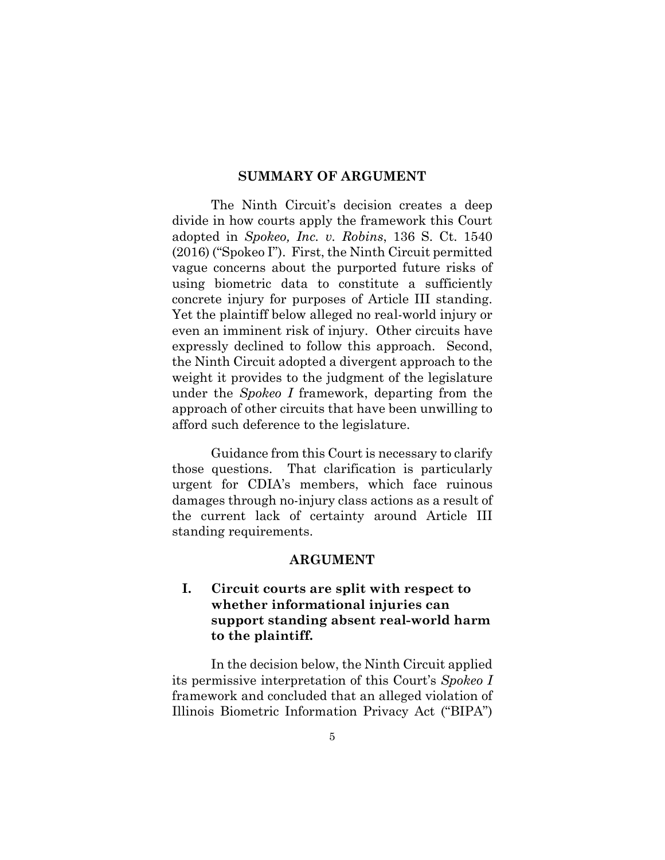#### **SUMMARY OF ARGUMENT**

The Ninth Circuit's decision creates a deep divide in how courts apply the framework this Court adopted in *Spokeo, Inc. v. Robins*, 136 S. Ct. 1540 (2016) ("Spokeo I"). First, the Ninth Circuit permitted vague concerns about the purported future risks of using biometric data to constitute a sufficiently concrete injury for purposes of Article III standing. Yet the plaintiff below alleged no real-world injury or even an imminent risk of injury. Other circuits have expressly declined to follow this approach. Second, the Ninth Circuit adopted a divergent approach to the weight it provides to the judgment of the legislature under the *Spokeo I* framework, departing from the approach of other circuits that have been unwilling to afford such deference to the legislature.

Guidance from this Court is necessary to clarify those questions. That clarification is particularly urgent for CDIA's members, which face ruinous damages through no-injury class actions as a result of the current lack of certainty around Article III standing requirements.

#### **ARGUMENT**

## **I. Circuit courts are split with respect to whether informational injuries can support standing absent real-world harm to the plaintiff.**

In the decision below, the Ninth Circuit applied its permissive interpretation of this Court's *Spokeo I*  framework and concluded that an alleged violation of Illinois Biometric Information Privacy Act ("BIPA")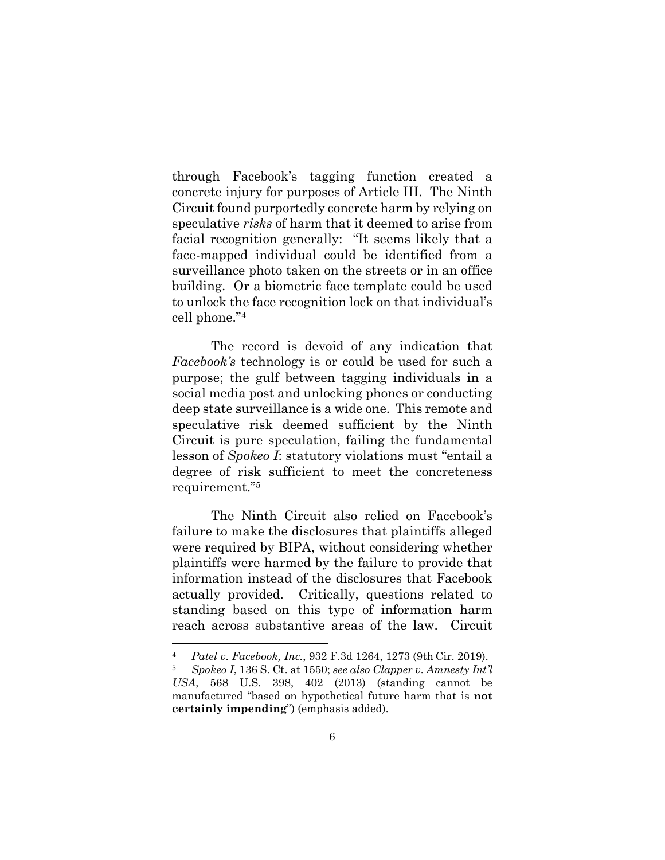through Facebook's tagging function created a concrete injury for purposes of Article III. The Ninth Circuit found purportedly concrete harm by relying on speculative *risks* of harm that it deemed to arise from facial recognition generally: "It seems likely that a face-mapped individual could be identified from a surveillance photo taken on the streets or in an office building. Or a biometric face template could be used to unlock the face recognition lock on that individual's cell phone."4

The record is devoid of any indication that *Facebook's* technology is or could be used for such a purpose; the gulf between tagging individuals in a social media post and unlocking phones or conducting deep state surveillance is a wide one. This remote and speculative risk deemed sufficient by the Ninth Circuit is pure speculation, failing the fundamental lesson of *Spokeo I*: statutory violations must "entail a degree of risk sufficient to meet the concreteness requirement."5

The Ninth Circuit also relied on Facebook's failure to make the disclosures that plaintiffs alleged were required by BIPA, without considering whether plaintiffs were harmed by the failure to provide that information instead of the disclosures that Facebook actually provided. Critically, questions related to standing based on this type of information harm reach across substantive areas of the law. Circuit

<sup>4</sup> *Patel v. Facebook, Inc.*, 932 F.3d 1264, 1273 (9th Cir. 2019).

<sup>5</sup> *Spokeo I*, 136 S. Ct. at 1550; *see also Clapper v. Amnesty Int'l USA*, 568 U.S. 398, 402 (2013) (standing cannot be manufactured "based on hypothetical future harm that is **not certainly impending**") (emphasis added).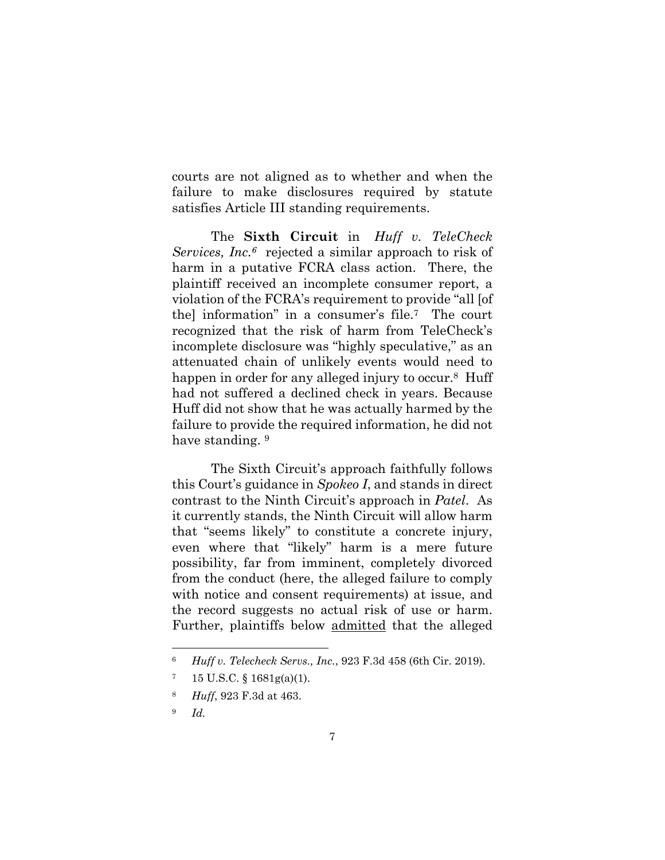courts are not aligned as to whether and when the failure to make disclosures required by statute satisfies Article III standing requirements.

The **Sixth Circuit** in *Huff v. TeleCheck Services, Inc.6* rejected a similar approach to risk of harm in a putative FCRA class action. There, the plaintiff received an incomplete consumer report, a violation of the FCRA's requirement to provide "all [of the] information" in a consumer's file.7 The court recognized that the risk of harm from TeleCheck's incomplete disclosure was "highly speculative," as an attenuated chain of unlikely events would need to happen in order for any alleged injury to occur.<sup>8</sup> Huff had not suffered a declined check in years. Because Huff did not show that he was actually harmed by the failure to provide the required information, he did not have standing. 9

The Sixth Circuit's approach faithfully follows this Court's guidance in *Spokeo I*, and stands in direct contrast to the Ninth Circuit's approach in *Patel*. As it currently stands, the Ninth Circuit will allow harm that "seems likely" to constitute a concrete injury, even where that "likely" harm is a mere future possibility, far from imminent, completely divorced from the conduct (here, the alleged failure to comply with notice and consent requirements) at issue, and the record suggests no actual risk of use or harm. Further, plaintiffs below admitted that the alleged

<sup>6</sup> *Huff v. Telecheck Servs., Inc.*, 923 F.3d 458 (6th Cir. 2019).

<sup>7 15</sup> U.S.C. § 1681g(a)(1).

<sup>8</sup> *Huff*, 923 F.3d at 463.

<sup>9</sup> *Id.*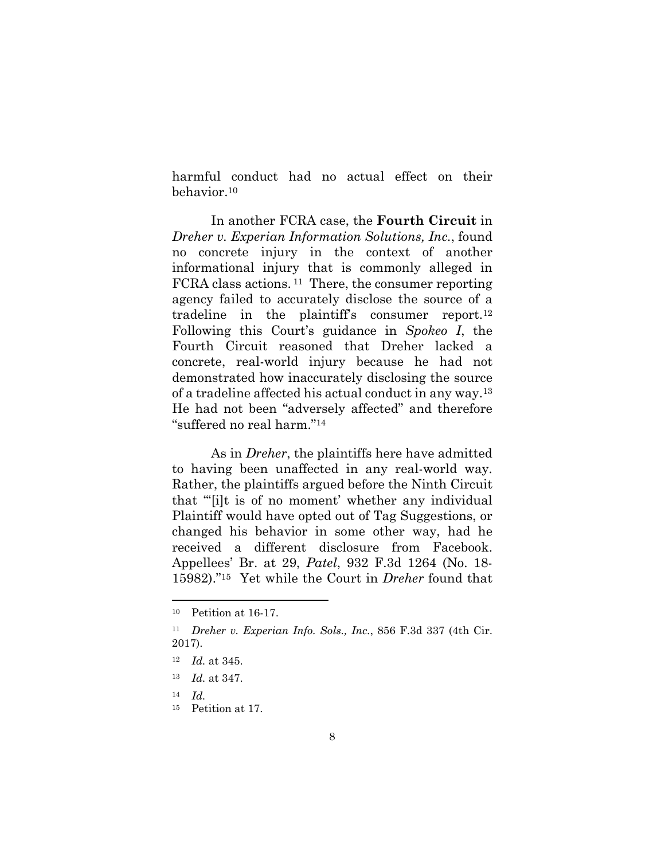harmful conduct had no actual effect on their behavior.10

In another FCRA case, the **Fourth Circuit** in *Dreher v. Experian Information Solutions, Inc.*, found no concrete injury in the context of another informational injury that is commonly alleged in FCRA class actions. 11 There, the consumer reporting agency failed to accurately disclose the source of a tradeline in the plaintiff's consumer report.12 Following this Court's guidance in *Spokeo I*, the Fourth Circuit reasoned that Dreher lacked a concrete, real-world injury because he had not demonstrated how inaccurately disclosing the source of a tradeline affected his actual conduct in any way.13 He had not been "adversely affected" and therefore "suffered no real harm."14

As in *Dreher*, the plaintiffs here have admitted to having been unaffected in any real-world way. Rather, the plaintiffs argued before the Ninth Circuit that "'[i]t is of no moment' whether any individual Plaintiff would have opted out of Tag Suggestions, or changed his behavior in some other way, had he received a different disclosure from Facebook. Appellees' Br. at 29, *Patel*, 932 F.3d 1264 (No. 18- 15982)."15 Yet while the Court in *Dreher* found that

<sup>10</sup> Petition at 16-17.

<sup>11</sup> *Dreher v. Experian Info. Sols., Inc.*, 856 F.3d 337 (4th Cir. 2017).

<sup>12</sup> *Id.* at 345.

<sup>13</sup> *Id.* at 347.

 $14$  *Id.* 

<sup>15</sup> Petition at 17.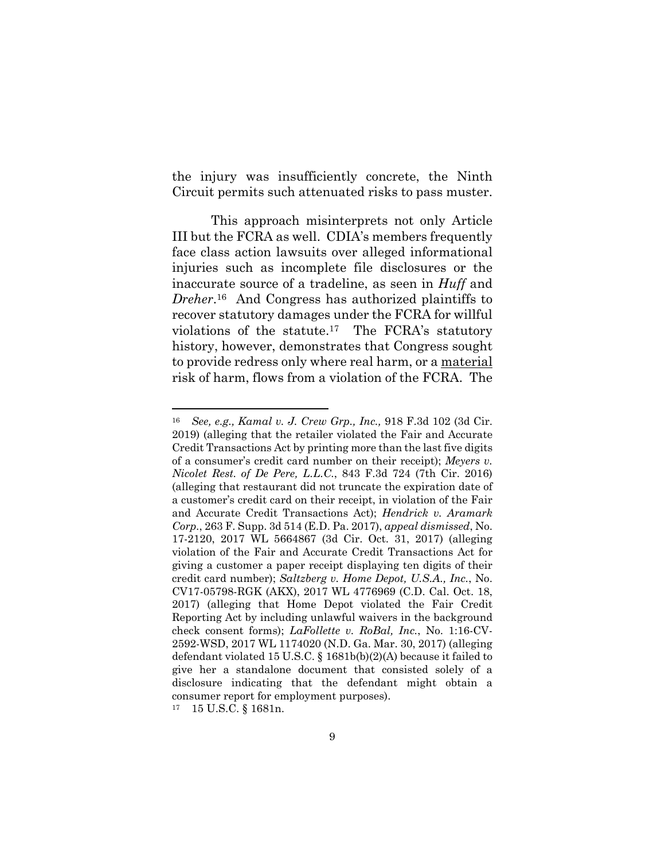the injury was insufficiently concrete, the Ninth Circuit permits such attenuated risks to pass muster.

This approach misinterprets not only Article III but the FCRA as well. CDIA's members frequently face class action lawsuits over alleged informational injuries such as incomplete file disclosures or the inaccurate source of a tradeline, as seen in *Huff* and *Dreher*.16 And Congress has authorized plaintiffs to recover statutory damages under the FCRA for willful violations of the statute.17 The FCRA's statutory history, however, demonstrates that Congress sought to provide redress only where real harm, or a material risk of harm, flows from a violation of the FCRA. The

<sup>16</sup> *See, e.g., Kamal v. J. Crew Grp., Inc.,* 918 F.3d 102 (3d Cir. 2019) (alleging that the retailer violated the Fair and Accurate Credit Transactions Act by printing more than the last five digits of a consumer's credit card number on their receipt); *Meyers v. Nicolet Rest. of De Pere, L.L.C.*, 843 F.3d 724 (7th Cir. 2016) (alleging that restaurant did not truncate the expiration date of a customer's credit card on their receipt, in violation of the Fair and Accurate Credit Transactions Act); *Hendrick v. Aramark Corp.*, 263 F. Supp. 3d 514 (E.D. Pa. 2017), *appeal dismissed*, No. 17-2120, 2017 WL 5664867 (3d Cir. Oct. 31, 2017) (alleging violation of the Fair and Accurate Credit Transactions Act for giving a customer a paper receipt displaying ten digits of their credit card number); *Saltzberg v. Home Depot, U.S.A., Inc.*, No. CV17-05798-RGK (AKX), 2017 WL 4776969 (C.D. Cal. Oct. 18, 2017) (alleging that Home Depot violated the Fair Credit Reporting Act by including unlawful waivers in the background check consent forms); *LaFollette v. RoBal, Inc.*, No. 1:16-CV-2592-WSD, 2017 WL 1174020 (N.D. Ga. Mar. 30, 2017) (alleging defendant violated 15 U.S.C. § 1681b(b)(2)(A) because it failed to give her a standalone document that consisted solely of a disclosure indicating that the defendant might obtain a consumer report for employment purposes).

<sup>17 15</sup> U.S.C. § 1681n.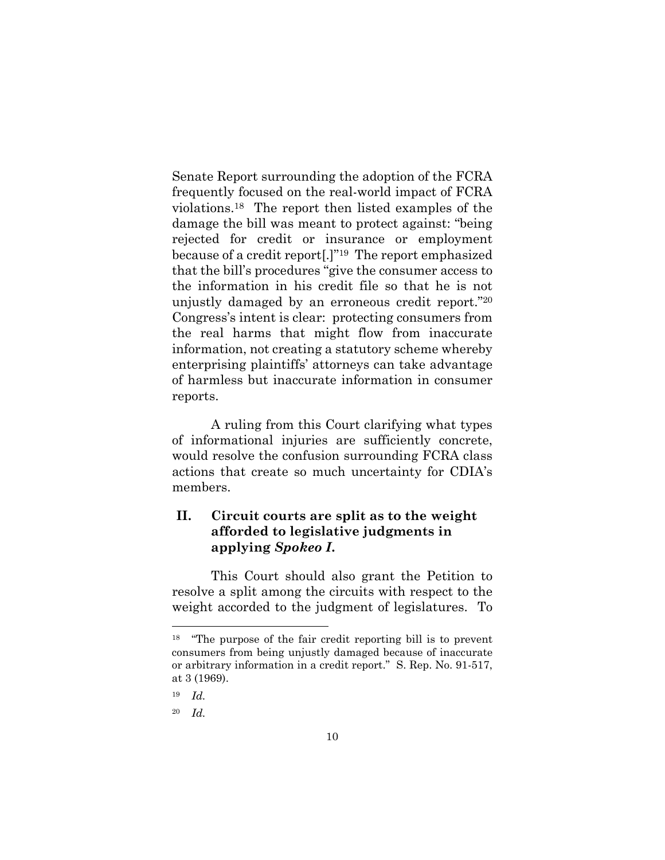Senate Report surrounding the adoption of the FCRA frequently focused on the real-world impact of FCRA violations.18 The report then listed examples of the damage the bill was meant to protect against: "being rejected for credit or insurance or employment because of a credit report[.]"19 The report emphasized that the bill's procedures "give the consumer access to the information in his credit file so that he is not unjustly damaged by an erroneous credit report."20 Congress's intent is clear: protecting consumers from the real harms that might flow from inaccurate information, not creating a statutory scheme whereby enterprising plaintiffs' attorneys can take advantage of harmless but inaccurate information in consumer reports.

A ruling from this Court clarifying what types of informational injuries are sufficiently concrete, would resolve the confusion surrounding FCRA class actions that create so much uncertainty for CDIA's members.

### **II. Circuit courts are split as to the weight afforded to legislative judgments in applying** *Spokeo I***.**

This Court should also grant the Petition to resolve a split among the circuits with respect to the weight accorded to the judgment of legislatures. To

<sup>18 &</sup>quot;The purpose of the fair credit reporting bill is to prevent consumers from being unjustly damaged because of inaccurate or arbitrary information in a credit report." S. Rep. No. 91-517, at 3 (1969).

<sup>19</sup> *Id.* 

<sup>20</sup> *Id.*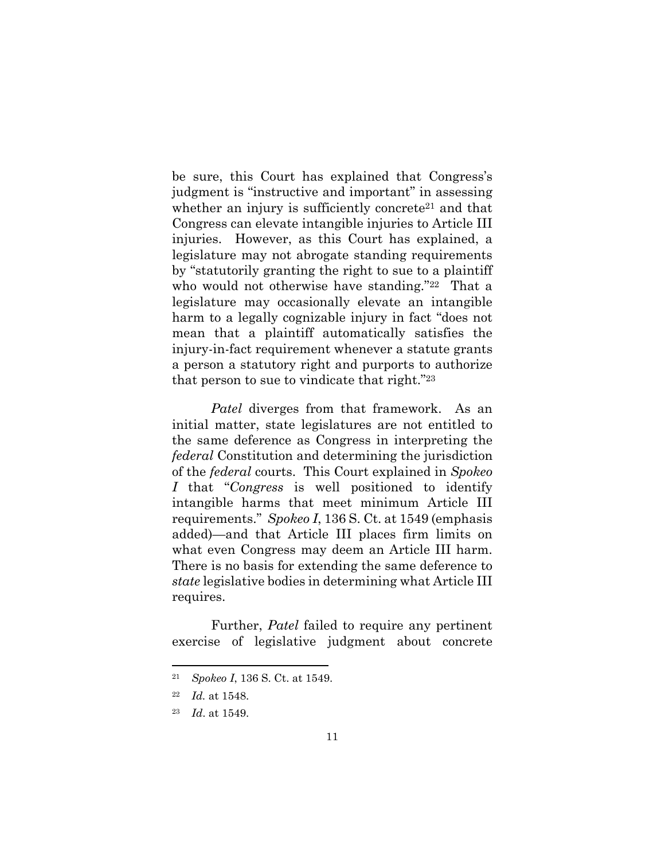be sure, this Court has explained that Congress's judgment is "instructive and important" in assessing whether an injury is sufficiently concrete<sup>21</sup> and that Congress can elevate intangible injuries to Article III injuries. However, as this Court has explained, a legislature may not abrogate standing requirements by "statutorily granting the right to sue to a plaintiff who would not otherwise have standing."22 That a legislature may occasionally elevate an intangible harm to a legally cognizable injury in fact "does not mean that a plaintiff automatically satisfies the injury-in-fact requirement whenever a statute grants a person a statutory right and purports to authorize that person to sue to vindicate that right."23

*Patel* diverges from that framework. As an initial matter, state legislatures are not entitled to the same deference as Congress in interpreting the *federal* Constitution and determining the jurisdiction of the *federal* courts. This Court explained in *Spokeo I* that "*Congress* is well positioned to identify intangible harms that meet minimum Article III requirements." *Spokeo I*, 136 S. Ct. at 1549 (emphasis added)—and that Article III places firm limits on what even Congress may deem an Article III harm. There is no basis for extending the same deference to *state* legislative bodies in determining what Article III requires.

Further, *Patel* failed to require any pertinent exercise of legislative judgment about concrete

 21 *Spokeo I*, 136 S. Ct. at 1549.

<sup>22</sup> *Id.* at 1548.

<sup>23</sup> *Id*. at 1549.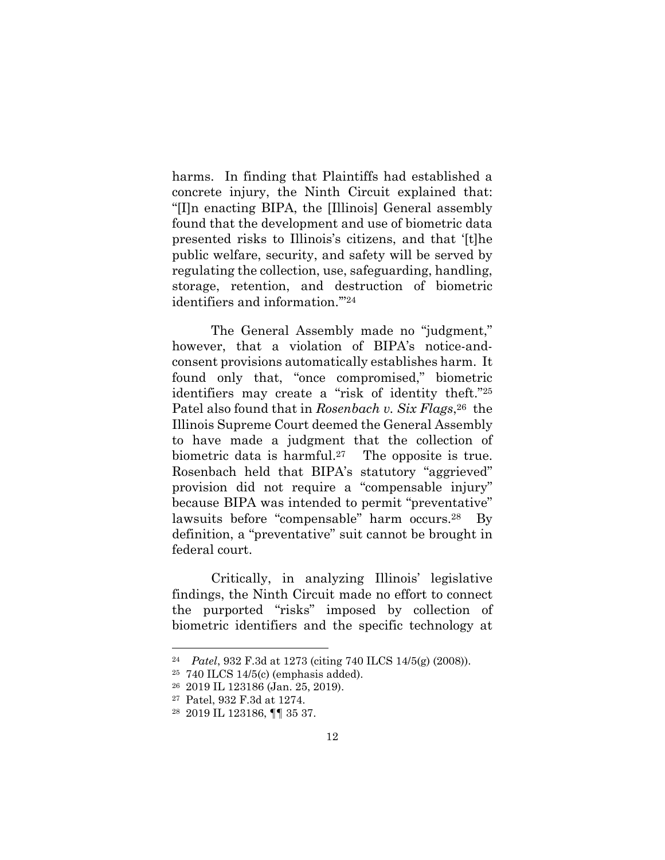harms. In finding that Plaintiffs had established a concrete injury, the Ninth Circuit explained that: "[I]n enacting BIPA, the [Illinois] General assembly found that the development and use of biometric data presented risks to Illinois's citizens, and that '[t]he public welfare, security, and safety will be served by regulating the collection, use, safeguarding, handling, storage, retention, and destruction of biometric identifiers and information.'"24

The General Assembly made no "judgment," however, that a violation of BIPA's notice-andconsent provisions automatically establishes harm. It found only that, "once compromised," biometric identifiers may create a "risk of identity theft."25 Patel also found that in *Rosenbach v. Six Flags*,<sup>26</sup> the Illinois Supreme Court deemed the General Assembly to have made a judgment that the collection of biometric data is harmful.<sup>27</sup> The opposite is true. Rosenbach held that BIPA's statutory "aggrieved" provision did not require a "compensable injury" because BIPA was intended to permit "preventative" lawsuits before "compensable" harm occurs.28 By definition, a "preventative" suit cannot be brought in federal court.

Critically, in analyzing Illinois' legislative findings, the Ninth Circuit made no effort to connect the purported "risks" imposed by collection of biometric identifiers and the specific technology at

<sup>24</sup> *Patel*, 932 F.3d at 1273 (citing 740 ILCS 14/5(g) (2008)).

<sup>25 740</sup> ILCS 14/5(c) (emphasis added).

<sup>26 2019</sup> IL 123186 (Jan. 25, 2019).

<sup>27</sup> Patel, 932 F.3d at 1274.

<sup>28 2019</sup> IL 123186, ¶¶ 35 37.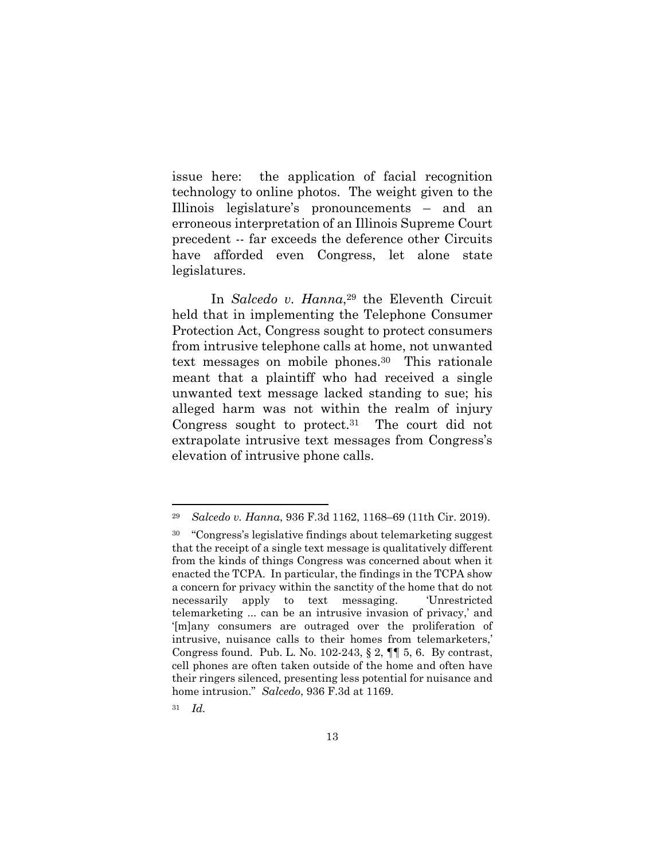issue here: the application of facial recognition technology to online photos. The weight given to the Illinois legislature's pronouncements – and an erroneous interpretation of an Illinois Supreme Court precedent -- far exceeds the deference other Circuits have afforded even Congress, let alone state legislatures.

In *Salcedo v. Hanna*<sup>29</sup> the Eleventh Circuit held that in implementing the Telephone Consumer Protection Act, Congress sought to protect consumers from intrusive telephone calls at home, not unwanted text messages on mobile phones.30 This rationale meant that a plaintiff who had received a single unwanted text message lacked standing to sue; his alleged harm was not within the realm of injury Congress sought to protect.31 The court did not extrapolate intrusive text messages from Congress's elevation of intrusive phone calls.

<sup>29</sup> *Salcedo v. Hanna*, 936 F.3d 1162, 1168–69 (11th Cir. 2019).

<sup>30 &</sup>quot;Congress's legislative findings about telemarketing suggest that the receipt of a single text message is qualitatively different from the kinds of things Congress was concerned about when it enacted the TCPA. In particular, the findings in the TCPA show a concern for privacy within the sanctity of the home that do not necessarily apply to text messaging. 'Unrestricted telemarketing ... can be an intrusive invasion of privacy,' and '[m]any consumers are outraged over the proliferation of intrusive, nuisance calls to their homes from telemarketers,' Congress found. Pub. L. No. 102-243, § 2, ¶¶ 5, 6. By contrast, cell phones are often taken outside of the home and often have their ringers silenced, presenting less potential for nuisance and home intrusion." *Salcedo*, 936 F.3d at 1169.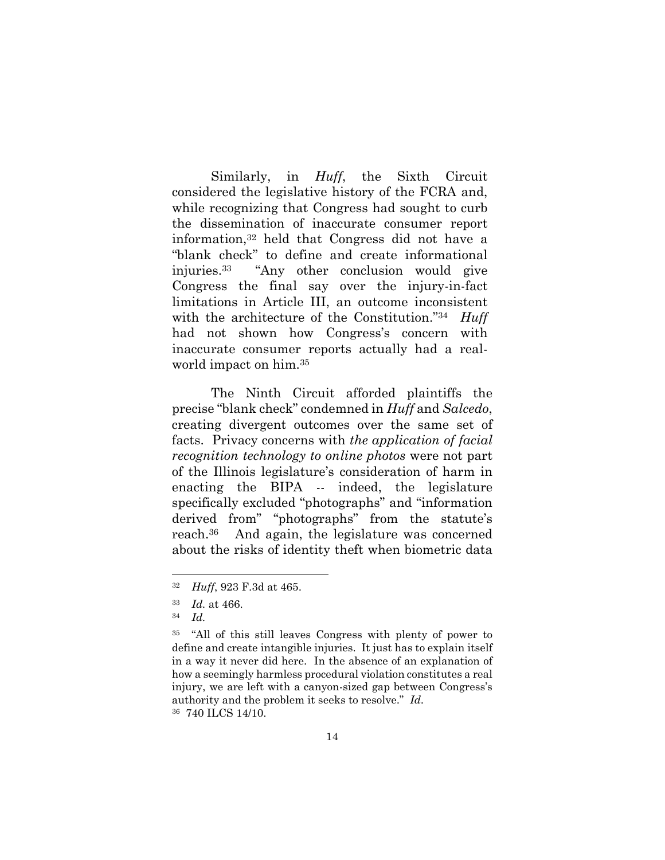Similarly, in *Huff*, the Sixth Circuit considered the legislative history of the FCRA and, while recognizing that Congress had sought to curb the dissemination of inaccurate consumer report information,32 held that Congress did not have a "blank check" to define and create informational injuries.33 "Any other conclusion would give Congress the final say over the injury-in-fact limitations in Article III, an outcome inconsistent with the architecture of the Constitution."34 *Huff* had not shown how Congress's concern with inaccurate consumer reports actually had a realworld impact on him.35

 The Ninth Circuit afforded plaintiffs the precise "blank check" condemned in *Huff* and *Salcedo*, creating divergent outcomes over the same set of facts. Privacy concerns with *the application of facial recognition technology to online photos* were not part of the Illinois legislature's consideration of harm in enacting the BIPA -- indeed, the legislature specifically excluded "photographs" and "information derived from" "photographs" from the statute's reach.36 And again, the legislature was concerned about the risks of identity theft when biometric data

<sup>32</sup> *Huff*, 923 F.3d at 465.

<sup>33</sup> *Id.* at 466.

<sup>34</sup> *Id.*

<sup>35 &</sup>quot;All of this still leaves Congress with plenty of power to define and create intangible injuries. It just has to explain itself in a way it never did here. In the absence of an explanation of how a seemingly harmless procedural violation constitutes a real injury, we are left with a canyon-sized gap between Congress's authority and the problem it seeks to resolve." *Id.* 36 740 ILCS 14/10.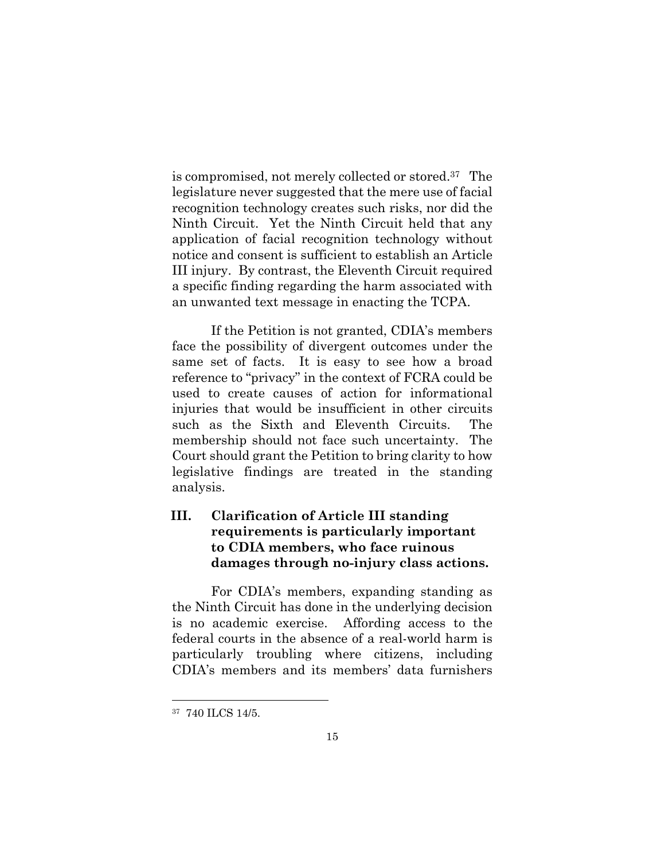is compromised, not merely collected or stored.37 The legislature never suggested that the mere use of facial recognition technology creates such risks, nor did the Ninth Circuit. Yet the Ninth Circuit held that any application of facial recognition technology without notice and consent is sufficient to establish an Article III injury. By contrast, the Eleventh Circuit required a specific finding regarding the harm associated with an unwanted text message in enacting the TCPA.

 If the Petition is not granted, CDIA's members face the possibility of divergent outcomes under the same set of facts. It is easy to see how a broad reference to "privacy" in the context of FCRA could be used to create causes of action for informational injuries that would be insufficient in other circuits such as the Sixth and Eleventh Circuits. The membership should not face such uncertainty. The Court should grant the Petition to bring clarity to how legislative findings are treated in the standing analysis.

## **III. Clarification of Article III standing requirements is particularly important to CDIA members, who face ruinous damages through no-injury class actions.**

For CDIA's members, expanding standing as the Ninth Circuit has done in the underlying decision is no academic exercise. Affording access to the federal courts in the absence of a real-world harm is particularly troubling where citizens, including CDIA's members and its members' data furnishers

<sup>37 740</sup> ILCS 14/5.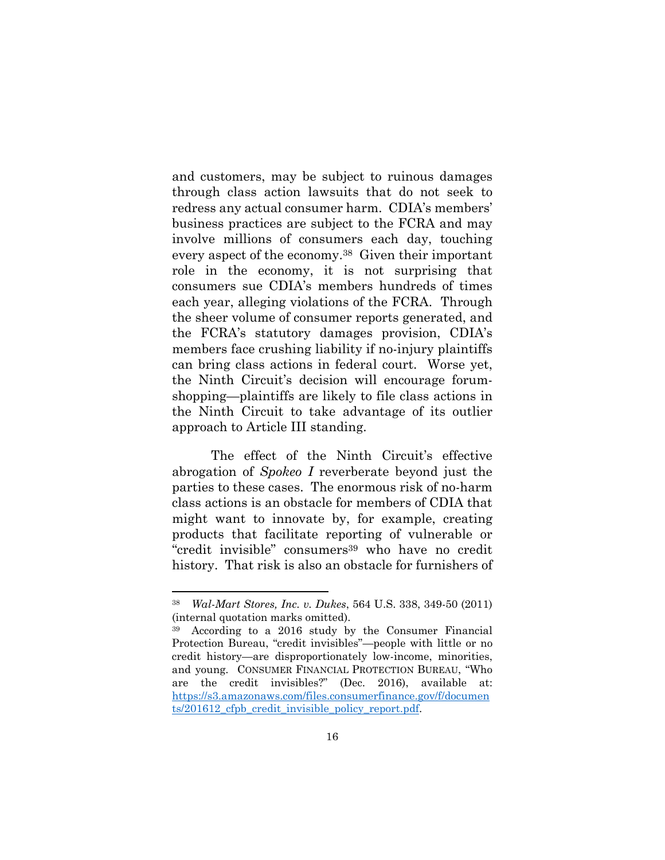and customers, may be subject to ruinous damages through class action lawsuits that do not seek to redress any actual consumer harm. CDIA's members' business practices are subject to the FCRA and may involve millions of consumers each day, touching every aspect of the economy.38 Given their important role in the economy, it is not surprising that consumers sue CDIA's members hundreds of times each year, alleging violations of the FCRA. Through the sheer volume of consumer reports generated, and the FCRA's statutory damages provision, CDIA's members face crushing liability if no-injury plaintiffs can bring class actions in federal court. Worse yet, the Ninth Circuit's decision will encourage forumshopping—plaintiffs are likely to file class actions in the Ninth Circuit to take advantage of its outlier approach to Article III standing.

The effect of the Ninth Circuit's effective abrogation of *Spokeo I* reverberate beyond just the parties to these cases. The enormous risk of no-harm class actions is an obstacle for members of CDIA that might want to innovate by, for example, creating products that facilitate reporting of vulnerable or "credit invisible" consumers<sup>39</sup> who have no credit history. That risk is also an obstacle for furnishers of

<sup>38</sup> *Wal-Mart Stores, Inc. v. Dukes*, 564 U.S. 338, 349-50 (2011) (internal quotation marks omitted).

According to a 2016 study by the Consumer Financial Protection Bureau, "credit invisibles"—people with little or no credit history—are disproportionately low-income, minorities, and young. CONSUMER FINANCIAL PROTECTION BUREAU, "Who are the credit invisibles?" (Dec. 2016), available at: https://s3.amazonaws.com/files.consumerfinance.gov/f/documen ts/201612 cfpb credit invisible policy report.pdf.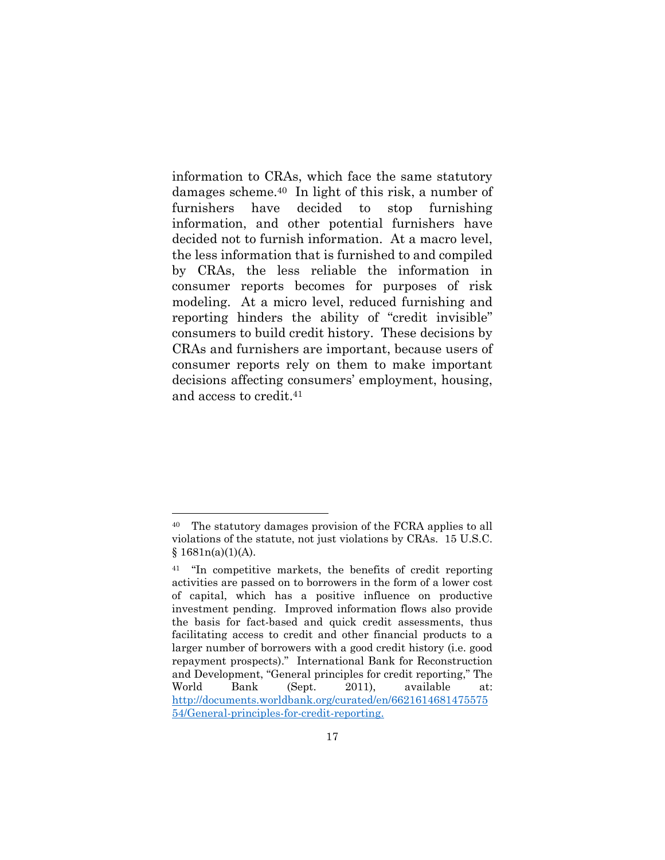information to CRAs, which face the same statutory damages scheme.40 In light of this risk, a number of furnishers have decided to stop furnishing information, and other potential furnishers have decided not to furnish information. At a macro level, the less information that is furnished to and compiled by CRAs, the less reliable the information in consumer reports becomes for purposes of risk modeling. At a micro level, reduced furnishing and reporting hinders the ability of "credit invisible" consumers to build credit history. These decisions by CRAs and furnishers are important, because users of consumer reports rely on them to make important decisions affecting consumers' employment, housing, and access to credit.41

<sup>40</sup> The statutory damages provision of the FCRA applies to all violations of the statute, not just violations by CRAs. 15 U.S.C.  $§ 1681n(a)(1)(A).$ 

<sup>41 &</sup>quot;In competitive markets, the benefits of credit reporting activities are passed on to borrowers in the form of a lower cost of capital, which has a positive influence on productive investment pending. Improved information flows also provide the basis for fact-based and quick credit assessments, thus facilitating access to credit and other financial products to a larger number of borrowers with a good credit history (i.e. good repayment prospects)." International Bank for Reconstruction and Development, "General principles for credit reporting," The World Bank (Sept. 2011), available at: http://documents.worldbank.org/curated/en/6621614681475575 54/General-principles-for-credit-reporting.